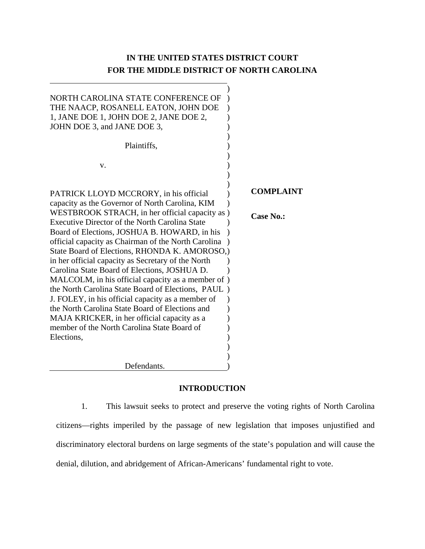# **IN THE UNITED STATES DISTRICT COURT FOR THE MIDDLE DISTRICT OF NORTH CAROLINA**

| NORTH CAROLINA STATE CONFERENCE OF                  |                  |
|-----------------------------------------------------|------------------|
| THE NAACP, ROSANELL EATON, JOHN DOE                 |                  |
| 1, JANE DOE 1, JOHN DOE 2, JANE DOE 2,              |                  |
| JOHN DOE 3, and JANE DOE 3,                         |                  |
|                                                     |                  |
| Plaintiffs,                                         |                  |
|                                                     |                  |
| v.                                                  |                  |
|                                                     |                  |
|                                                     |                  |
|                                                     | <b>COMPLA</b>    |
| PATRICK LLOYD MCCRORY, in his official              |                  |
| capacity as the Governor of North Carolina, KIM     |                  |
| WESTBROOK STRACH, in her official capacity as )     | <b>Case No.:</b> |
| Executive Director of the North Carolina State      |                  |
| Board of Elections, JOSHUA B. HOWARD, in his        |                  |
| official capacity as Chairman of the North Carolina |                  |
| State Board of Elections, RHONDA K. AMOROSO,        |                  |
| in her official capacity as Secretary of the North  |                  |
| Carolina State Board of Elections, JOSHUA D.        |                  |
| MALCOLM, in his official capacity as a member of )  |                  |
| the North Carolina State Board of Elections, PAUL)  |                  |
| J. FOLEY, in his official capacity as a member of   |                  |
| the North Carolina State Board of Elections and     |                  |
| MAJA KRICKER, in her official capacity as a         |                  |
| member of the North Carolina State Board of         |                  |
|                                                     |                  |
| Elections,                                          |                  |
|                                                     |                  |
|                                                     |                  |
| Defendants.                                         |                  |

# **COMPLAINT**

# **INTRODUCTION**

1. This lawsuit seeks to protect and preserve the voting rights of North Carolina citizens—rights imperiled by the passage of new legislation that imposes unjustified and discriminatory electoral burdens on large segments of the state's population and will cause the denial, dilution, and abridgement of African-Americans' fundamental right to vote.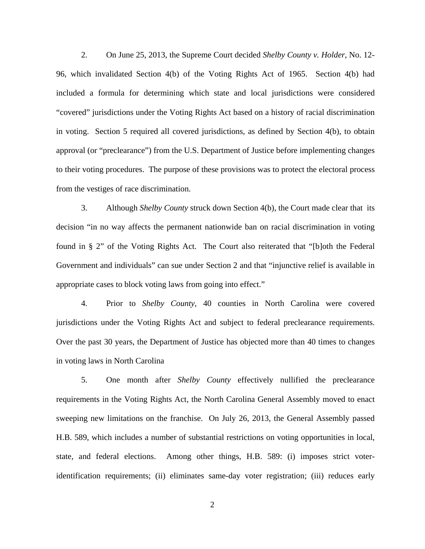2. On June 25, 2013, the Supreme Court decided *Shelby County v. Holder*, No. 12- 96, which invalidated Section 4(b) of the Voting Rights Act of 1965. Section 4(b) had included a formula for determining which state and local jurisdictions were considered "covered" jurisdictions under the Voting Rights Act based on a history of racial discrimination in voting. Section 5 required all covered jurisdictions, as defined by Section 4(b), to obtain approval (or "preclearance") from the U.S. Department of Justice before implementing changes to their voting procedures. The purpose of these provisions was to protect the electoral process from the vestiges of race discrimination.

3. Although *Shelby County* struck down Section 4(b), the Court made clear that its decision "in no way affects the permanent nationwide ban on racial discrimination in voting found in § 2" of the Voting Rights Act. The Court also reiterated that "[b]oth the Federal Government and individuals" can sue under Section 2 and that "injunctive relief is available in appropriate cases to block voting laws from going into effect."

4. Prior to *Shelby County*, 40 counties in North Carolina were covered jurisdictions under the Voting Rights Act and subject to federal preclearance requirements. Over the past 30 years, the Department of Justice has objected more than 40 times to changes in voting laws in North Carolina

5. One month after *Shelby County* effectively nullified the preclearance requirements in the Voting Rights Act, the North Carolina General Assembly moved to enact sweeping new limitations on the franchise. On July 26, 2013, the General Assembly passed H.B. 589, which includes a number of substantial restrictions on voting opportunities in local, state, and federal elections. Among other things, H.B. 589: (i) imposes strict voteridentification requirements; (ii) eliminates same-day voter registration; (iii) reduces early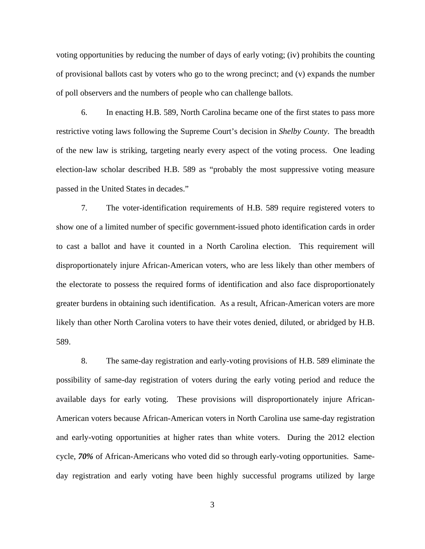voting opportunities by reducing the number of days of early voting; (iv) prohibits the counting of provisional ballots cast by voters who go to the wrong precinct; and (v) expands the number of poll observers and the numbers of people who can challenge ballots.

6. In enacting H.B. 589, North Carolina became one of the first states to pass more restrictive voting laws following the Supreme Court's decision in *Shelby County*. The breadth of the new law is striking, targeting nearly every aspect of the voting process. One leading election-law scholar described H.B. 589 as "probably the most suppressive voting measure passed in the United States in decades."

7. The voter-identification requirements of H.B. 589 require registered voters to show one of a limited number of specific government-issued photo identification cards in order to cast a ballot and have it counted in a North Carolina election. This requirement will disproportionately injure African-American voters, who are less likely than other members of the electorate to possess the required forms of identification and also face disproportionately greater burdens in obtaining such identification. As a result, African-American voters are more likely than other North Carolina voters to have their votes denied, diluted, or abridged by H.B. 589.

8. The same-day registration and early-voting provisions of H.B. 589 eliminate the possibility of same-day registration of voters during the early voting period and reduce the available days for early voting. These provisions will disproportionately injure African-American voters because African-American voters in North Carolina use same-day registration and early-voting opportunities at higher rates than white voters. During the 2012 election cycle, *70%* of African-Americans who voted did so through early-voting opportunities. Sameday registration and early voting have been highly successful programs utilized by large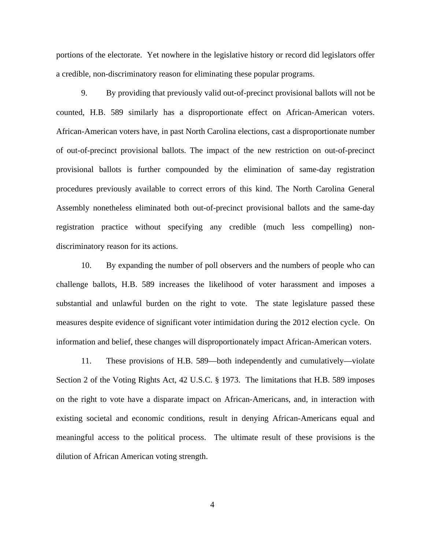portions of the electorate. Yet nowhere in the legislative history or record did legislators offer a credible, non-discriminatory reason for eliminating these popular programs.

9. By providing that previously valid out-of-precinct provisional ballots will not be counted, H.B. 589 similarly has a disproportionate effect on African-American voters. African-American voters have, in past North Carolina elections, cast a disproportionate number of out-of-precinct provisional ballots. The impact of the new restriction on out-of-precinct provisional ballots is further compounded by the elimination of same-day registration procedures previously available to correct errors of this kind. The North Carolina General Assembly nonetheless eliminated both out-of-precinct provisional ballots and the same-day registration practice without specifying any credible (much less compelling) nondiscriminatory reason for its actions.

10. By expanding the number of poll observers and the numbers of people who can challenge ballots, H.B. 589 increases the likelihood of voter harassment and imposes a substantial and unlawful burden on the right to vote. The state legislature passed these measures despite evidence of significant voter intimidation during the 2012 election cycle. On information and belief, these changes will disproportionately impact African-American voters.

11. These provisions of H.B. 589—both independently and cumulatively—violate Section 2 of the Voting Rights Act, 42 U.S.C. § 1973. The limitations that H.B. 589 imposes on the right to vote have a disparate impact on African-Americans, and, in interaction with existing societal and economic conditions, result in denying African-Americans equal and meaningful access to the political process. The ultimate result of these provisions is the dilution of African American voting strength.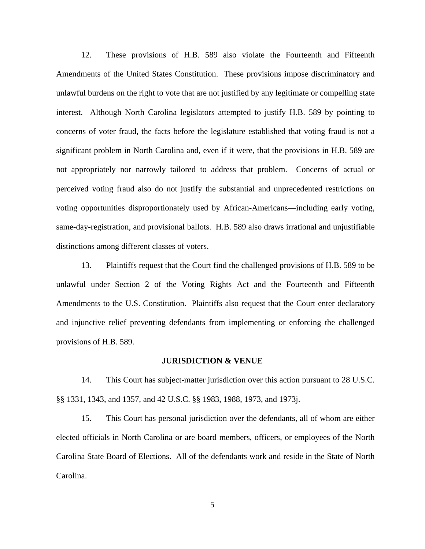12. These provisions of H.B. 589 also violate the Fourteenth and Fifteenth Amendments of the United States Constitution. These provisions impose discriminatory and unlawful burdens on the right to vote that are not justified by any legitimate or compelling state interest. Although North Carolina legislators attempted to justify H.B. 589 by pointing to concerns of voter fraud, the facts before the legislature established that voting fraud is not a significant problem in North Carolina and, even if it were, that the provisions in H.B. 589 are not appropriately nor narrowly tailored to address that problem. Concerns of actual or perceived voting fraud also do not justify the substantial and unprecedented restrictions on voting opportunities disproportionately used by African-Americans—including early voting, same-day-registration, and provisional ballots. H.B. 589 also draws irrational and unjustifiable distinctions among different classes of voters.

13. Plaintiffs request that the Court find the challenged provisions of H.B. 589 to be unlawful under Section 2 of the Voting Rights Act and the Fourteenth and Fifteenth Amendments to the U.S. Constitution. Plaintiffs also request that the Court enter declaratory and injunctive relief preventing defendants from implementing or enforcing the challenged provisions of H.B. 589.

#### **JURISDICTION & VENUE**

14. This Court has subject-matter jurisdiction over this action pursuant to 28 U.S.C. §§ 1331, 1343, and 1357, and 42 U.S.C. §§ 1983, 1988, 1973, and 1973j.

15. This Court has personal jurisdiction over the defendants, all of whom are either elected officials in North Carolina or are board members, officers, or employees of the North Carolina State Board of Elections. All of the defendants work and reside in the State of North Carolina.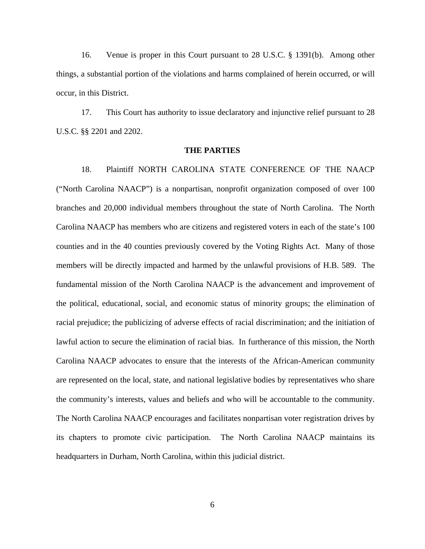16. Venue is proper in this Court pursuant to 28 U.S.C. § 1391(b). Among other things, a substantial portion of the violations and harms complained of herein occurred, or will occur, in this District.

17. This Court has authority to issue declaratory and injunctive relief pursuant to 28 U.S.C. §§ 2201 and 2202.

### **THE PARTIES**

18. Plaintiff NORTH CAROLINA STATE CONFERENCE OF THE NAACP ("North Carolina NAACP") is a nonpartisan, nonprofit organization composed of over 100 branches and 20,000 individual members throughout the state of North Carolina. The North Carolina NAACP has members who are citizens and registered voters in each of the state's 100 counties and in the 40 counties previously covered by the Voting Rights Act. Many of those members will be directly impacted and harmed by the unlawful provisions of H.B. 589. The fundamental mission of the North Carolina NAACP is the advancement and improvement of the political, educational, social, and economic status of minority groups; the elimination of racial prejudice; the publicizing of adverse effects of racial discrimination; and the initiation of lawful action to secure the elimination of racial bias. In furtherance of this mission, the North Carolina NAACP advocates to ensure that the interests of the African-American community are represented on the local, state, and national legislative bodies by representatives who share the community's interests, values and beliefs and who will be accountable to the community. The North Carolina NAACP encourages and facilitates nonpartisan voter registration drives by its chapters to promote civic participation. The North Carolina NAACP maintains its headquarters in Durham, North Carolina, within this judicial district.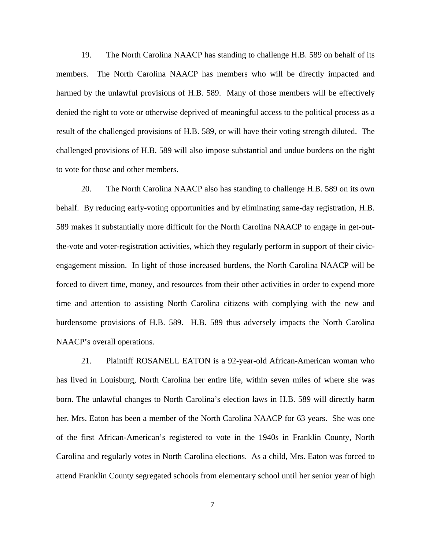19. The North Carolina NAACP has standing to challenge H.B. 589 on behalf of its members. The North Carolina NAACP has members who will be directly impacted and harmed by the unlawful provisions of H.B. 589. Many of those members will be effectively denied the right to vote or otherwise deprived of meaningful access to the political process as a result of the challenged provisions of H.B. 589, or will have their voting strength diluted. The challenged provisions of H.B. 589 will also impose substantial and undue burdens on the right to vote for those and other members.

20. The North Carolina NAACP also has standing to challenge H.B. 589 on its own behalf. By reducing early-voting opportunities and by eliminating same-day registration, H.B. 589 makes it substantially more difficult for the North Carolina NAACP to engage in get-outthe-vote and voter-registration activities, which they regularly perform in support of their civicengagement mission. In light of those increased burdens, the North Carolina NAACP will be forced to divert time, money, and resources from their other activities in order to expend more time and attention to assisting North Carolina citizens with complying with the new and burdensome provisions of H.B. 589. H.B. 589 thus adversely impacts the North Carolina NAACP's overall operations.

21. Plaintiff ROSANELL EATON is a 92-year-old African-American woman who has lived in Louisburg, North Carolina her entire life, within seven miles of where she was born. The unlawful changes to North Carolina's election laws in H.B. 589 will directly harm her. Mrs. Eaton has been a member of the North Carolina NAACP for 63 years. She was one of the first African-American's registered to vote in the 1940s in Franklin County, North Carolina and regularly votes in North Carolina elections. As a child, Mrs. Eaton was forced to attend Franklin County segregated schools from elementary school until her senior year of high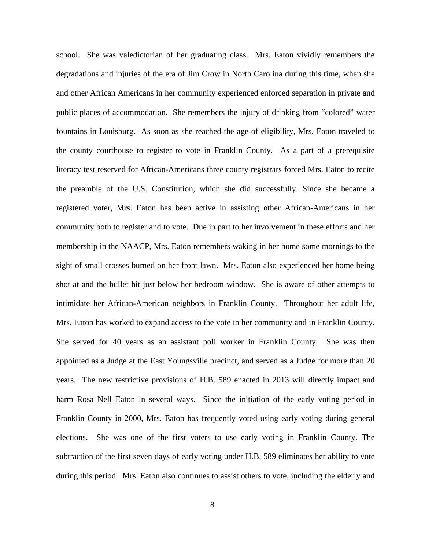school. She was valedictorian of her graduating class. Mrs. Eaton vividly remembers the degradations and injuries of the era of Jim Crow in North Carolina during this time, when she and other African Americans in her community experienced enforced separation in private and public places of accommodation. She remembers the injury of drinking from "colored" water fountains in Louisburg. As soon as she reached the age of eligibility, Mrs. Eaton traveled to the county courthouse to register to vote in Franklin County. As a part of a prerequisite literacy test reserved for African-Americans three county registrars forced Mrs. Eaton to recite the preamble of the U.S. Constitution, which she did successfully. Since she became a registered voter, Mrs. Eaton has been active in assisting other African-Americans in her community both to register and to vote. Due in part to her involvement in these efforts and her membership in the NAACP, Mrs. Eaton remembers waking in her home some mornings to the sight of small crosses burned on her front lawn. Mrs. Eaton also experienced her home being shot at and the bullet hit just below her bedroom window. She is aware of other attempts to intimidate her African-American neighbors in Franklin County. Throughout her adult life, Mrs. Eaton has worked to expand access to the vote in her community and in Franklin County. She served for 40 years as an assistant poll worker in Franklin County. She was then appointed as a Judge at the East Youngsville precinct, and served as a Judge for more than 20 years. The new restrictive provisions of H.B. 589 enacted in 2013 will directly impact and harm Rosa Nell Eaton in several ways. Since the initiation of the early voting period in Franklin County in 2000, Mrs. Eaton has frequently voted using early voting during general elections. She was one of the first voters to use early voting in Franklin County. The subtraction of the first seven days of early voting under H.B. 589 eliminates her ability to vote during this period. Mrs. Eaton also continues to assist others to vote, including the elderly and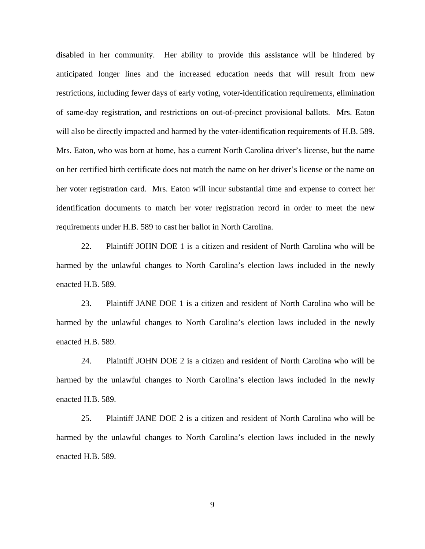disabled in her community. Her ability to provide this assistance will be hindered by anticipated longer lines and the increased education needs that will result from new restrictions, including fewer days of early voting, voter-identification requirements, elimination of same-day registration, and restrictions on out-of-precinct provisional ballots. Mrs. Eaton will also be directly impacted and harmed by the voter-identification requirements of H.B. 589. Mrs. Eaton, who was born at home, has a current North Carolina driver's license, but the name on her certified birth certificate does not match the name on her driver's license or the name on her voter registration card. Mrs. Eaton will incur substantial time and expense to correct her identification documents to match her voter registration record in order to meet the new requirements under H.B. 589 to cast her ballot in North Carolina.

22. Plaintiff JOHN DOE 1 is a citizen and resident of North Carolina who will be harmed by the unlawful changes to North Carolina's election laws included in the newly enacted H.B. 589.

23. Plaintiff JANE DOE 1 is a citizen and resident of North Carolina who will be harmed by the unlawful changes to North Carolina's election laws included in the newly enacted H.B. 589.

24. Plaintiff JOHN DOE 2 is a citizen and resident of North Carolina who will be harmed by the unlawful changes to North Carolina's election laws included in the newly enacted H.B. 589.

25. Plaintiff JANE DOE 2 is a citizen and resident of North Carolina who will be harmed by the unlawful changes to North Carolina's election laws included in the newly enacted H.B. 589.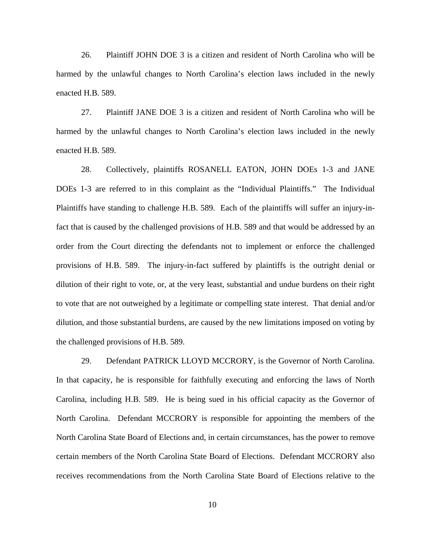26. Plaintiff JOHN DOE 3 is a citizen and resident of North Carolina who will be harmed by the unlawful changes to North Carolina's election laws included in the newly enacted H.B. 589.

27. Plaintiff JANE DOE 3 is a citizen and resident of North Carolina who will be harmed by the unlawful changes to North Carolina's election laws included in the newly enacted H.B. 589.

28. Collectively, plaintiffs ROSANELL EATON, JOHN DOEs 1-3 and JANE DOEs 1-3 are referred to in this complaint as the "Individual Plaintiffs." The Individual Plaintiffs have standing to challenge H.B. 589. Each of the plaintiffs will suffer an injury-infact that is caused by the challenged provisions of H.B. 589 and that would be addressed by an order from the Court directing the defendants not to implement or enforce the challenged provisions of H.B. 589. The injury-in-fact suffered by plaintiffs is the outright denial or dilution of their right to vote, or, at the very least, substantial and undue burdens on their right to vote that are not outweighed by a legitimate or compelling state interest. That denial and/or dilution, and those substantial burdens, are caused by the new limitations imposed on voting by the challenged provisions of H.B. 589.

29. Defendant PATRICK LLOYD MCCRORY, is the Governor of North Carolina. In that capacity, he is responsible for faithfully executing and enforcing the laws of North Carolina, including H.B. 589. He is being sued in his official capacity as the Governor of North Carolina. Defendant MCCRORY is responsible for appointing the members of the North Carolina State Board of Elections and, in certain circumstances, has the power to remove certain members of the North Carolina State Board of Elections. Defendant MCCRORY also receives recommendations from the North Carolina State Board of Elections relative to the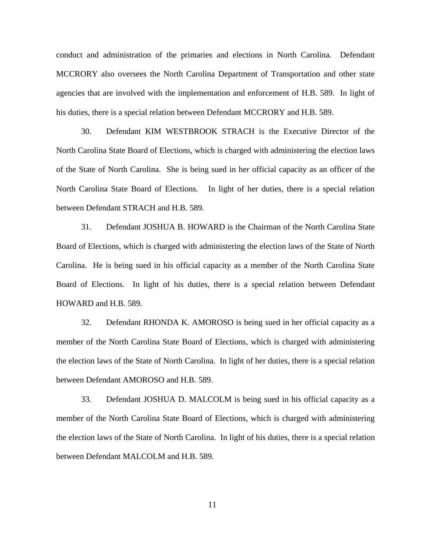conduct and administration of the primaries and elections in North Carolina. Defendant MCCRORY also oversees the North Carolina Department of Transportation and other state agencies that are involved with the implementation and enforcement of H.B. 589. In light of his duties, there is a special relation between Defendant MCCRORY and H.B. 589.

30. Defendant KIM WESTBROOK STRACH is the Executive Director of the North Carolina State Board of Elections, which is charged with administering the election laws of the State of North Carolina. She is being sued in her official capacity as an officer of the North Carolina State Board of Elections. In light of her duties, there is a special relation between Defendant STRACH and H.B. 589.

31. Defendant JOSHUA B. HOWARD is the Chairman of the North Carolina State Board of Elections, which is charged with administering the election laws of the State of North Carolina. He is being sued in his official capacity as a member of the North Carolina State Board of Elections. In light of his duties, there is a special relation between Defendant HOWARD and H.B. 589.

32. Defendant RHONDA K. AMOROSO is being sued in her official capacity as a member of the North Carolina State Board of Elections, which is charged with administering the election laws of the State of North Carolina. In light of her duties, there is a special relation between Defendant AMOROSO and H.B. 589.

33. Defendant JOSHUA D. MALCOLM is being sued in his official capacity as a member of the North Carolina State Board of Elections, which is charged with administering the election laws of the State of North Carolina. In light of his duties, there is a special relation between Defendant MALCOLM and H.B. 589.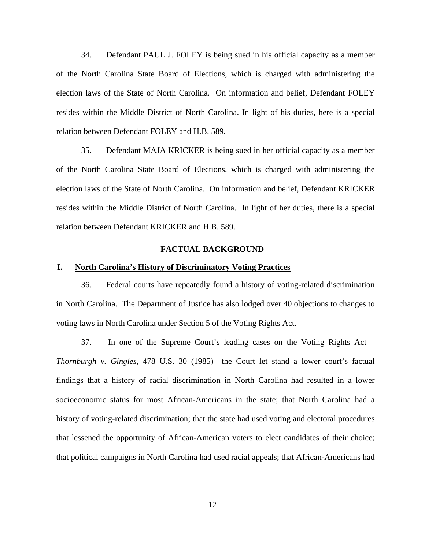34. Defendant PAUL J. FOLEY is being sued in his official capacity as a member of the North Carolina State Board of Elections, which is charged with administering the election laws of the State of North Carolina. On information and belief, Defendant FOLEY resides within the Middle District of North Carolina. In light of his duties, here is a special relation between Defendant FOLEY and H.B. 589.

35. Defendant MAJA KRICKER is being sued in her official capacity as a member of the North Carolina State Board of Elections, which is charged with administering the election laws of the State of North Carolina. On information and belief, Defendant KRICKER resides within the Middle District of North Carolina. In light of her duties, there is a special relation between Defendant KRICKER and H.B. 589.

## **FACTUAL BACKGROUND**

## **I. North Carolina's History of Discriminatory Voting Practices**

36. Federal courts have repeatedly found a history of voting-related discrimination in North Carolina. The Department of Justice has also lodged over 40 objections to changes to voting laws in North Carolina under Section 5 of the Voting Rights Act.

37. In one of the Supreme Court's leading cases on the Voting Rights Act— *Thornburgh v. Gingles*, 478 U.S. 30 (1985)—the Court let stand a lower court's factual findings that a history of racial discrimination in North Carolina had resulted in a lower socioeconomic status for most African-Americans in the state; that North Carolina had a history of voting-related discrimination; that the state had used voting and electoral procedures that lessened the opportunity of African-American voters to elect candidates of their choice; that political campaigns in North Carolina had used racial appeals; that African-Americans had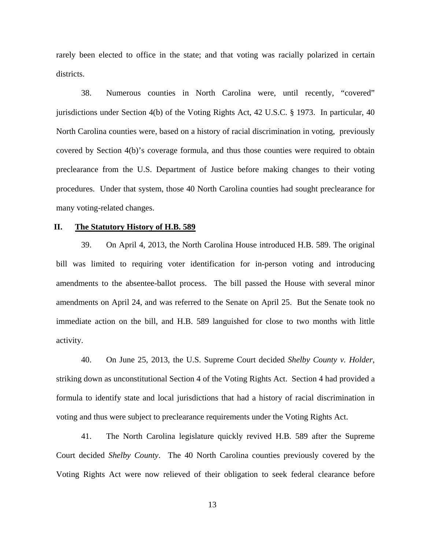rarely been elected to office in the state; and that voting was racially polarized in certain districts.

38. Numerous counties in North Carolina were, until recently, "covered" jurisdictions under Section 4(b) of the Voting Rights Act, 42 U.S.C. § 1973. In particular, 40 North Carolina counties were, based on a history of racial discrimination in voting, previously covered by Section 4(b)'s coverage formula, and thus those counties were required to obtain preclearance from the U.S. Department of Justice before making changes to their voting procedures. Under that system, those 40 North Carolina counties had sought preclearance for many voting-related changes.

## **II. The Statutory History of H.B. 589**

39. On April 4, 2013, the North Carolina House introduced H.B. 589. The original bill was limited to requiring voter identification for in-person voting and introducing amendments to the absentee-ballot process. The bill passed the House with several minor amendments on April 24, and was referred to the Senate on April 25. But the Senate took no immediate action on the bill, and H.B. 589 languished for close to two months with little activity.

40. On June 25, 2013, the U.S. Supreme Court decided *Shelby County v. Holder*, striking down as unconstitutional Section 4 of the Voting Rights Act. Section 4 had provided a formula to identify state and local jurisdictions that had a history of racial discrimination in voting and thus were subject to preclearance requirements under the Voting Rights Act.

41. The North Carolina legislature quickly revived H.B. 589 after the Supreme Court decided *Shelby County*. The 40 North Carolina counties previously covered by the Voting Rights Act were now relieved of their obligation to seek federal clearance before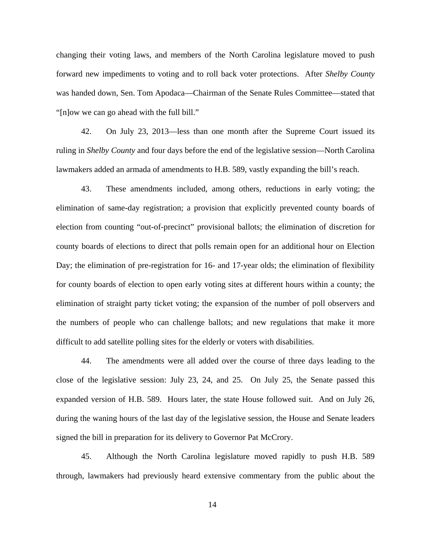changing their voting laws, and members of the North Carolina legislature moved to push forward new impediments to voting and to roll back voter protections. After *Shelby County* was handed down, Sen. Tom Apodaca—Chairman of the Senate Rules Committee—stated that "[n]ow we can go ahead with the full bill."

42. On July 23, 2013—less than one month after the Supreme Court issued its ruling in *Shelby County* and four days before the end of the legislative session—North Carolina lawmakers added an armada of amendments to H.B. 589, vastly expanding the bill's reach.

43. These amendments included, among others, reductions in early voting; the elimination of same-day registration; a provision that explicitly prevented county boards of election from counting "out-of-precinct" provisional ballots; the elimination of discretion for county boards of elections to direct that polls remain open for an additional hour on Election Day; the elimination of pre-registration for 16- and 17-year olds; the elimination of flexibility for county boards of election to open early voting sites at different hours within a county; the elimination of straight party ticket voting; the expansion of the number of poll observers and the numbers of people who can challenge ballots; and new regulations that make it more difficult to add satellite polling sites for the elderly or voters with disabilities.

44. The amendments were all added over the course of three days leading to the close of the legislative session: July 23, 24, and 25. On July 25, the Senate passed this expanded version of H.B. 589. Hours later, the state House followed suit. And on July 26, during the waning hours of the last day of the legislative session, the House and Senate leaders signed the bill in preparation for its delivery to Governor Pat McCrory.

45. Although the North Carolina legislature moved rapidly to push H.B. 589 through, lawmakers had previously heard extensive commentary from the public about the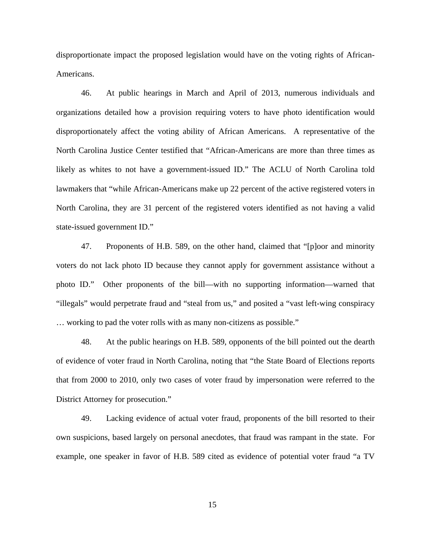disproportionate impact the proposed legislation would have on the voting rights of African-Americans.

46. At public hearings in March and April of 2013, numerous individuals and organizations detailed how a provision requiring voters to have photo identification would disproportionately affect the voting ability of African Americans. A representative of the North Carolina Justice Center testified that "African-Americans are more than three times as likely as whites to not have a government-issued ID." The ACLU of North Carolina told lawmakers that "while African-Americans make up 22 percent of the active registered voters in North Carolina, they are 31 percent of the registered voters identified as not having a valid state-issued government ID."

47. Proponents of H.B. 589, on the other hand, claimed that "[p]oor and minority voters do not lack photo ID because they cannot apply for government assistance without a photo ID." Other proponents of the bill—with no supporting information—warned that "illegals" would perpetrate fraud and "steal from us," and posited a "vast left-wing conspiracy … working to pad the voter rolls with as many non-citizens as possible."

48. At the public hearings on H.B. 589, opponents of the bill pointed out the dearth of evidence of voter fraud in North Carolina, noting that "the State Board of Elections reports that from 2000 to 2010, only two cases of voter fraud by impersonation were referred to the District Attorney for prosecution."

49. Lacking evidence of actual voter fraud, proponents of the bill resorted to their own suspicions, based largely on personal anecdotes, that fraud was rampant in the state. For example, one speaker in favor of H.B. 589 cited as evidence of potential voter fraud "a TV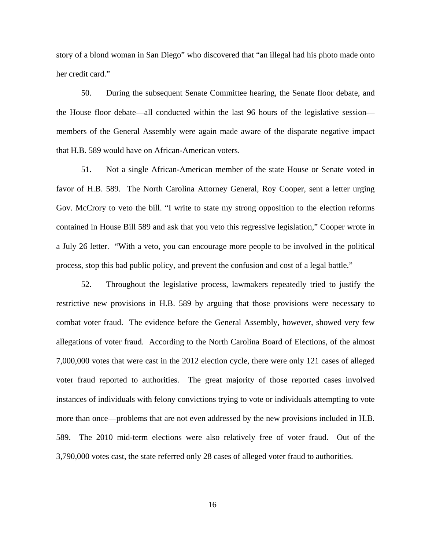story of a blond woman in San Diego" who discovered that "an illegal had his photo made onto her credit card."

50. During the subsequent Senate Committee hearing, the Senate floor debate, and the House floor debate—all conducted within the last 96 hours of the legislative session members of the General Assembly were again made aware of the disparate negative impact that H.B. 589 would have on African-American voters.

51. Not a single African-American member of the state House or Senate voted in favor of H.B. 589. The North Carolina Attorney General, Roy Cooper, sent a letter urging Gov. McCrory to veto the bill. "I write to state my strong opposition to the election reforms contained in House Bill 589 and ask that you veto this regressive legislation," Cooper wrote in a July 26 letter. "With a veto, you can encourage more people to be involved in the political process, stop this bad public policy, and prevent the confusion and cost of a legal battle."

52. Throughout the legislative process, lawmakers repeatedly tried to justify the restrictive new provisions in H.B. 589 by arguing that those provisions were necessary to combat voter fraud. The evidence before the General Assembly, however, showed very few allegations of voter fraud. According to the North Carolina Board of Elections, of the almost 7,000,000 votes that were cast in the 2012 election cycle, there were only 121 cases of alleged voter fraud reported to authorities. The great majority of those reported cases involved instances of individuals with felony convictions trying to vote or individuals attempting to vote more than once—problems that are not even addressed by the new provisions included in H.B. 589. The 2010 mid-term elections were also relatively free of voter fraud. Out of the 3,790,000 votes cast, the state referred only 28 cases of alleged voter fraud to authorities.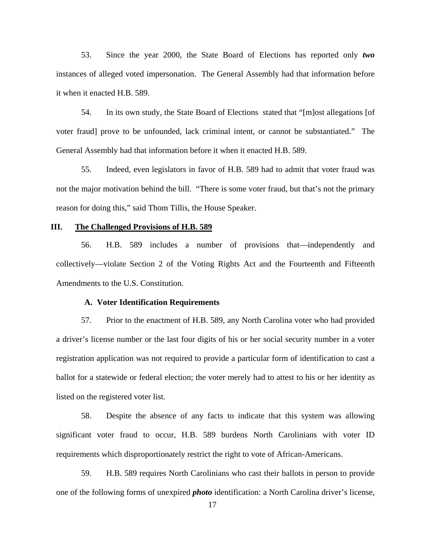53. Since the year 2000, the State Board of Elections has reported only *two* instances of alleged voted impersonation. The General Assembly had that information before it when it enacted H.B. 589.

54. In its own study, the State Board of Elections stated that "[m]ost allegations [of voter fraud] prove to be unfounded, lack criminal intent, or cannot be substantiated." The General Assembly had that information before it when it enacted H.B. 589.

55. Indeed, even legislators in favor of H.B. 589 had to admit that voter fraud was not the major motivation behind the bill. "There is some voter fraud, but that's not the primary reason for doing this," said Thom Tillis, the House Speaker.

### **III. The Challenged Provisions of H.B. 589**

56. H.B. 589 includes a number of provisions that—independently and collectively—violate Section 2 of the Voting Rights Act and the Fourteenth and Fifteenth Amendments to the U.S. Constitution.

#### **A. Voter Identification Requirements**

57. Prior to the enactment of H.B. 589, any North Carolina voter who had provided a driver's license number or the last four digits of his or her social security number in a voter registration application was not required to provide a particular form of identification to cast a ballot for a statewide or federal election; the voter merely had to attest to his or her identity as listed on the registered voter list.

58. Despite the absence of any facts to indicate that this system was allowing significant voter fraud to occur, H.B. 589 burdens North Carolinians with voter ID requirements which disproportionately restrict the right to vote of African-Americans.

59. H.B. 589 requires North Carolinians who cast their ballots in person to provide one of the following forms of unexpired *photo* identification: a North Carolina driver's license,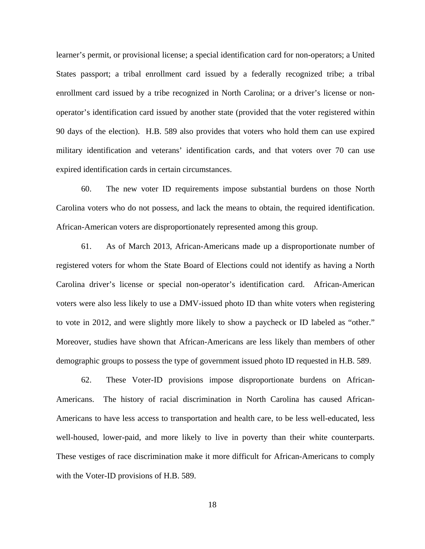learner's permit, or provisional license; a special identification card for non-operators; a United States passport; a tribal enrollment card issued by a federally recognized tribe; a tribal enrollment card issued by a tribe recognized in North Carolina; or a driver's license or nonoperator's identification card issued by another state (provided that the voter registered within 90 days of the election). H.B. 589 also provides that voters who hold them can use expired military identification and veterans' identification cards, and that voters over 70 can use expired identification cards in certain circumstances.

60. The new voter ID requirements impose substantial burdens on those North Carolina voters who do not possess, and lack the means to obtain, the required identification. African-American voters are disproportionately represented among this group.

61. As of March 2013, African-Americans made up a disproportionate number of registered voters for whom the State Board of Elections could not identify as having a North Carolina driver's license or special non-operator's identification card. African-American voters were also less likely to use a DMV-issued photo ID than white voters when registering to vote in 2012, and were slightly more likely to show a paycheck or ID labeled as "other." Moreover, studies have shown that African-Americans are less likely than members of other demographic groups to possess the type of government issued photo ID requested in H.B. 589.

62. These Voter-ID provisions impose disproportionate burdens on African-Americans. The history of racial discrimination in North Carolina has caused African-Americans to have less access to transportation and health care, to be less well-educated, less well-housed, lower-paid, and more likely to live in poverty than their white counterparts. These vestiges of race discrimination make it more difficult for African-Americans to comply with the Voter-ID provisions of H.B. 589.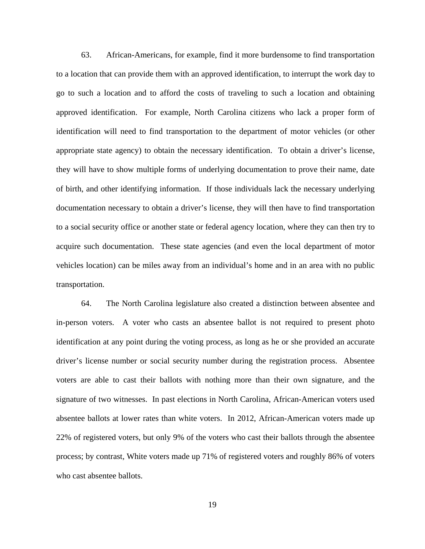63. African-Americans, for example, find it more burdensome to find transportation to a location that can provide them with an approved identification, to interrupt the work day to go to such a location and to afford the costs of traveling to such a location and obtaining approved identification. For example, North Carolina citizens who lack a proper form of identification will need to find transportation to the department of motor vehicles (or other appropriate state agency) to obtain the necessary identification. To obtain a driver's license, they will have to show multiple forms of underlying documentation to prove their name, date of birth, and other identifying information. If those individuals lack the necessary underlying documentation necessary to obtain a driver's license, they will then have to find transportation to a social security office or another state or federal agency location, where they can then try to acquire such documentation. These state agencies (and even the local department of motor vehicles location) can be miles away from an individual's home and in an area with no public transportation.

64. The North Carolina legislature also created a distinction between absentee and in-person voters. A voter who casts an absentee ballot is not required to present photo identification at any point during the voting process, as long as he or she provided an accurate driver's license number or social security number during the registration process. Absentee voters are able to cast their ballots with nothing more than their own signature, and the signature of two witnesses. In past elections in North Carolina, African-American voters used absentee ballots at lower rates than white voters. In 2012, African-American voters made up 22% of registered voters, but only 9% of the voters who cast their ballots through the absentee process; by contrast, White voters made up 71% of registered voters and roughly 86% of voters who cast absentee ballots.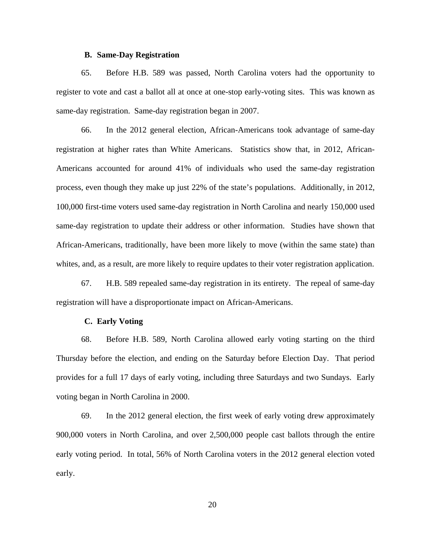### **B. Same-Day Registration**

65. Before H.B. 589 was passed, North Carolina voters had the opportunity to register to vote and cast a ballot all at once at one-stop early-voting sites. This was known as same-day registration. Same-day registration began in 2007.

66. In the 2012 general election, African-Americans took advantage of same-day registration at higher rates than White Americans. Statistics show that, in 2012, African-Americans accounted for around 41% of individuals who used the same-day registration process, even though they make up just 22% of the state's populations. Additionally, in 2012, 100,000 first-time voters used same-day registration in North Carolina and nearly 150,000 used same-day registration to update their address or other information. Studies have shown that African-Americans, traditionally, have been more likely to move (within the same state) than whites, and, as a result, are more likely to require updates to their voter registration application.

67. H.B. 589 repealed same-day registration in its entirety. The repeal of same-day registration will have a disproportionate impact on African-Americans.

### **C. Early Voting**

68. Before H.B. 589, North Carolina allowed early voting starting on the third Thursday before the election, and ending on the Saturday before Election Day. That period provides for a full 17 days of early voting, including three Saturdays and two Sundays. Early voting began in North Carolina in 2000.

69. In the 2012 general election, the first week of early voting drew approximately 900,000 voters in North Carolina, and over 2,500,000 people cast ballots through the entire early voting period. In total, 56% of North Carolina voters in the 2012 general election voted early.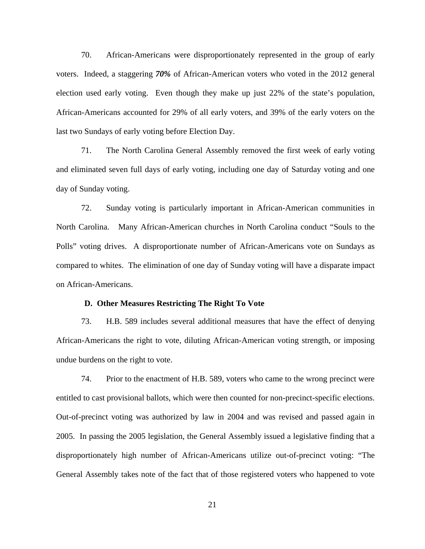70. African-Americans were disproportionately represented in the group of early voters. Indeed, a staggering *70%* of African-American voters who voted in the 2012 general election used early voting. Even though they make up just 22% of the state's population, African-Americans accounted for 29% of all early voters, and 39% of the early voters on the last two Sundays of early voting before Election Day.

71. The North Carolina General Assembly removed the first week of early voting and eliminated seven full days of early voting, including one day of Saturday voting and one day of Sunday voting.

72. Sunday voting is particularly important in African-American communities in North Carolina. Many African-American churches in North Carolina conduct "Souls to the Polls" voting drives. A disproportionate number of African-Americans vote on Sundays as compared to whites. The elimination of one day of Sunday voting will have a disparate impact on African-Americans.

## **D. Other Measures Restricting The Right To Vote**

73. H.B. 589 includes several additional measures that have the effect of denying African-Americans the right to vote, diluting African-American voting strength, or imposing undue burdens on the right to vote.

74. Prior to the enactment of H.B. 589, voters who came to the wrong precinct were entitled to cast provisional ballots, which were then counted for non-precinct-specific elections. Out-of-precinct voting was authorized by law in 2004 and was revised and passed again in 2005. In passing the 2005 legislation, the General Assembly issued a legislative finding that a disproportionately high number of African-Americans utilize out-of-precinct voting: "The General Assembly takes note of the fact that of those registered voters who happened to vote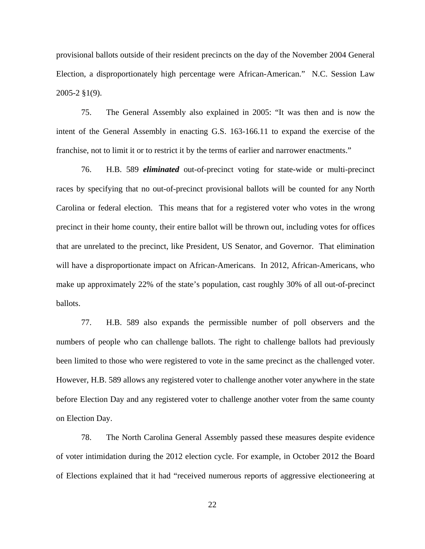provisional ballots outside of their resident precincts on the day of the November 2004 General Election, a disproportionately high percentage were African-American." N.C. Session Law 2005-2 §1(9).

75. The General Assembly also explained in 2005: "It was then and is now the intent of the General Assembly in enacting G.S. 163-166.11 to expand the exercise of the franchise, not to limit it or to restrict it by the terms of earlier and narrower enactments."

76. H.B. 589 *eliminated* out-of-precinct voting for state-wide or multi-precinct races by specifying that no out-of-precinct provisional ballots will be counted for any North Carolina or federal election. This means that for a registered voter who votes in the wrong precinct in their home county, their entire ballot will be thrown out, including votes for offices that are unrelated to the precinct, like President, US Senator, and Governor. That elimination will have a disproportionate impact on African-Americans. In 2012, African-Americans, who make up approximately 22% of the state's population, cast roughly 30% of all out-of-precinct ballots.

77. H.B. 589 also expands the permissible number of poll observers and the numbers of people who can challenge ballots. The right to challenge ballots had previously been limited to those who were registered to vote in the same precinct as the challenged voter. However, H.B. 589 allows any registered voter to challenge another voter anywhere in the state before Election Day and any registered voter to challenge another voter from the same county on Election Day.

78. The North Carolina General Assembly passed these measures despite evidence of voter intimidation during the 2012 election cycle. For example, in October 2012 the Board of Elections explained that it had "received numerous reports of aggressive electioneering at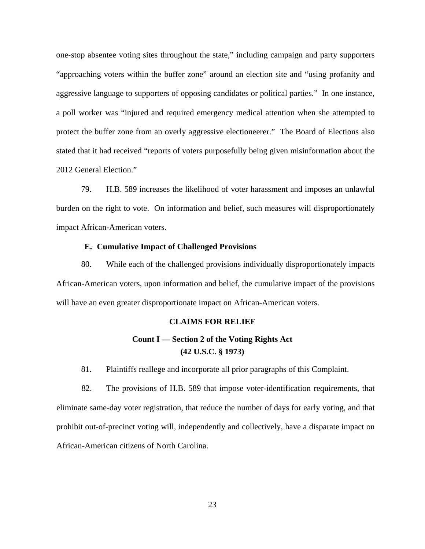one‐stop absentee voting sites throughout the state," including campaign and party supporters "approaching voters within the buffer zone" around an election site and "using profanity and aggressive language to supporters of opposing candidates or political parties." In one instance, a poll worker was "injured and required emergency medical attention when she attempted to protect the buffer zone from an overly aggressive electioneerer." The Board of Elections also stated that it had received "reports of voters purposefully being given misinformation about the 2012 General Election."

79. H.B. 589 increases the likelihood of voter harassment and imposes an unlawful burden on the right to vote. On information and belief, such measures will disproportionately impact African-American voters.

## **E. Cumulative Impact of Challenged Provisions**

80. While each of the challenged provisions individually disproportionately impacts African-American voters, upon information and belief, the cumulative impact of the provisions will have an even greater disproportionate impact on African-American voters.

## **CLAIMS FOR RELIEF**

# **Count I — Section 2 of the Voting Rights Act (42 U.S.C. § 1973)**

81. Plaintiffs reallege and incorporate all prior paragraphs of this Complaint.

82. The provisions of H.B. 589 that impose voter-identification requirements, that eliminate same-day voter registration, that reduce the number of days for early voting, and that prohibit out-of-precinct voting will, independently and collectively, have a disparate impact on African-American citizens of North Carolina.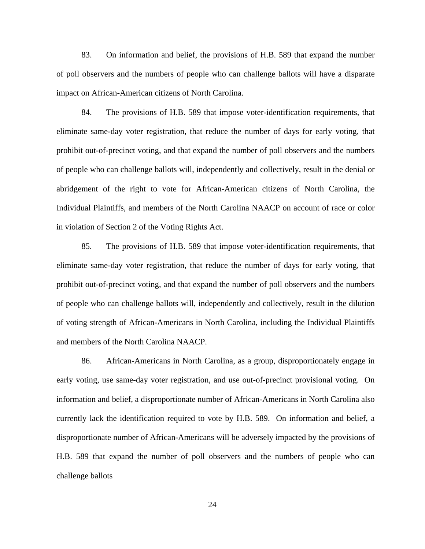83. On information and belief, the provisions of H.B. 589 that expand the number of poll observers and the numbers of people who can challenge ballots will have a disparate impact on African-American citizens of North Carolina.

84. The provisions of H.B. 589 that impose voter-identification requirements, that eliminate same-day voter registration, that reduce the number of days for early voting, that prohibit out-of-precinct voting, and that expand the number of poll observers and the numbers of people who can challenge ballots will, independently and collectively, result in the denial or abridgement of the right to vote for African-American citizens of North Carolina, the Individual Plaintiffs, and members of the North Carolina NAACP on account of race or color in violation of Section 2 of the Voting Rights Act.

85. The provisions of H.B. 589 that impose voter-identification requirements, that eliminate same-day voter registration, that reduce the number of days for early voting, that prohibit out-of-precinct voting, and that expand the number of poll observers and the numbers of people who can challenge ballots will, independently and collectively, result in the dilution of voting strength of African-Americans in North Carolina, including the Individual Plaintiffs and members of the North Carolina NAACP.

86. African-Americans in North Carolina, as a group, disproportionately engage in early voting, use same-day voter registration, and use out-of-precinct provisional voting. On information and belief, a disproportionate number of African-Americans in North Carolina also currently lack the identification required to vote by H.B. 589. On information and belief, a disproportionate number of African-Americans will be adversely impacted by the provisions of H.B. 589 that expand the number of poll observers and the numbers of people who can challenge ballots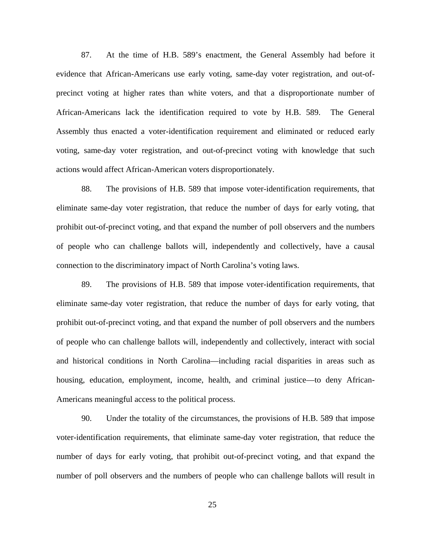87. At the time of H.B. 589's enactment, the General Assembly had before it evidence that African-Americans use early voting, same-day voter registration, and out-ofprecinct voting at higher rates than white voters, and that a disproportionate number of African-Americans lack the identification required to vote by H.B. 589. The General Assembly thus enacted a voter-identification requirement and eliminated or reduced early voting, same-day voter registration, and out-of-precinct voting with knowledge that such actions would affect African-American voters disproportionately.

88. The provisions of H.B. 589 that impose voter-identification requirements, that eliminate same-day voter registration, that reduce the number of days for early voting, that prohibit out-of-precinct voting, and that expand the number of poll observers and the numbers of people who can challenge ballots will, independently and collectively, have a causal connection to the discriminatory impact of North Carolina's voting laws.

89. The provisions of H.B. 589 that impose voter-identification requirements, that eliminate same-day voter registration, that reduce the number of days for early voting, that prohibit out-of-precinct voting, and that expand the number of poll observers and the numbers of people who can challenge ballots will, independently and collectively, interact with social and historical conditions in North Carolina—including racial disparities in areas such as housing, education, employment, income, health, and criminal justice—to deny African-Americans meaningful access to the political process.

90. Under the totality of the circumstances, the provisions of H.B. 589 that impose voter-identification requirements, that eliminate same-day voter registration, that reduce the number of days for early voting, that prohibit out-of-precinct voting, and that expand the number of poll observers and the numbers of people who can challenge ballots will result in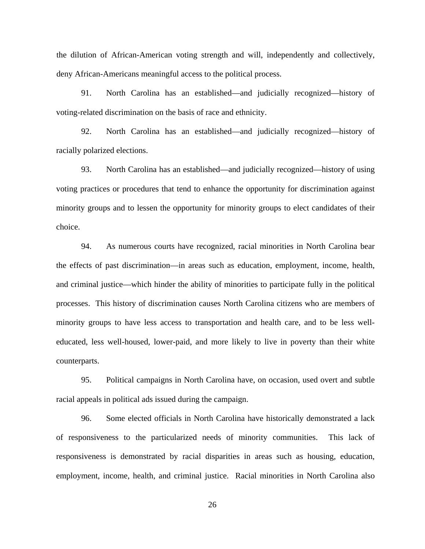the dilution of African-American voting strength and will, independently and collectively, deny African-Americans meaningful access to the political process.

91. North Carolina has an established—and judicially recognized—history of voting-related discrimination on the basis of race and ethnicity.

92. North Carolina has an established—and judicially recognized—history of racially polarized elections.

93. North Carolina has an established—and judicially recognized—history of using voting practices or procedures that tend to enhance the opportunity for discrimination against minority groups and to lessen the opportunity for minority groups to elect candidates of their choice.

94. As numerous courts have recognized, racial minorities in North Carolina bear the effects of past discrimination—in areas such as education, employment, income, health, and criminal justice—which hinder the ability of minorities to participate fully in the political processes. This history of discrimination causes North Carolina citizens who are members of minority groups to have less access to transportation and health care, and to be less welleducated, less well-housed, lower-paid, and more likely to live in poverty than their white counterparts.

95. Political campaigns in North Carolina have, on occasion, used overt and subtle racial appeals in political ads issued during the campaign.

96. Some elected officials in North Carolina have historically demonstrated a lack of responsiveness to the particularized needs of minority communities. This lack of responsiveness is demonstrated by racial disparities in areas such as housing, education, employment, income, health, and criminal justice. Racial minorities in North Carolina also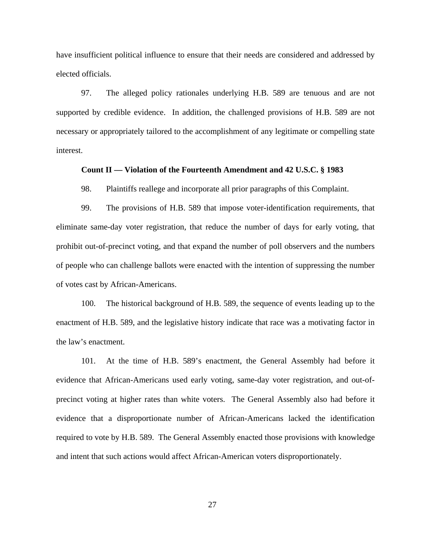have insufficient political influence to ensure that their needs are considered and addressed by elected officials.

97. The alleged policy rationales underlying H.B. 589 are tenuous and are not supported by credible evidence. In addition, the challenged provisions of H.B. 589 are not necessary or appropriately tailored to the accomplishment of any legitimate or compelling state interest.

## **Count II — Violation of the Fourteenth Amendment and 42 U.S.C. § 1983**

98. Plaintiffs reallege and incorporate all prior paragraphs of this Complaint.

99. The provisions of H.B. 589 that impose voter-identification requirements, that eliminate same-day voter registration, that reduce the number of days for early voting, that prohibit out-of-precinct voting, and that expand the number of poll observers and the numbers of people who can challenge ballots were enacted with the intention of suppressing the number of votes cast by African-Americans.

100. The historical background of H.B. 589, the sequence of events leading up to the enactment of H.B. 589, and the legislative history indicate that race was a motivating factor in the law's enactment.

101. At the time of H.B. 589's enactment, the General Assembly had before it evidence that African-Americans used early voting, same-day voter registration, and out-ofprecinct voting at higher rates than white voters. The General Assembly also had before it evidence that a disproportionate number of African-Americans lacked the identification required to vote by H.B. 589. The General Assembly enacted those provisions with knowledge and intent that such actions would affect African-American voters disproportionately.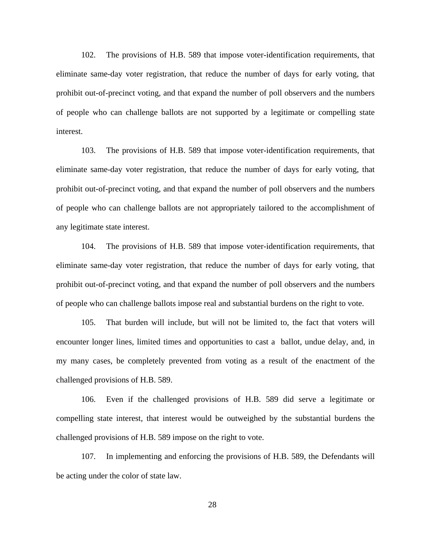102. The provisions of H.B. 589 that impose voter-identification requirements, that eliminate same-day voter registration, that reduce the number of days for early voting, that prohibit out-of-precinct voting, and that expand the number of poll observers and the numbers of people who can challenge ballots are not supported by a legitimate or compelling state interest.

103. The provisions of H.B. 589 that impose voter-identification requirements, that eliminate same-day voter registration, that reduce the number of days for early voting, that prohibit out-of-precinct voting, and that expand the number of poll observers and the numbers of people who can challenge ballots are not appropriately tailored to the accomplishment of any legitimate state interest.

104. The provisions of H.B. 589 that impose voter-identification requirements, that eliminate same-day voter registration, that reduce the number of days for early voting, that prohibit out-of-precinct voting, and that expand the number of poll observers and the numbers of people who can challenge ballots impose real and substantial burdens on the right to vote.

105. That burden will include, but will not be limited to, the fact that voters will encounter longer lines, limited times and opportunities to cast a ballot, undue delay, and, in my many cases, be completely prevented from voting as a result of the enactment of the challenged provisions of H.B. 589.

106. Even if the challenged provisions of H.B. 589 did serve a legitimate or compelling state interest, that interest would be outweighed by the substantial burdens the challenged provisions of H.B. 589 impose on the right to vote.

107. In implementing and enforcing the provisions of H.B. 589, the Defendants will be acting under the color of state law.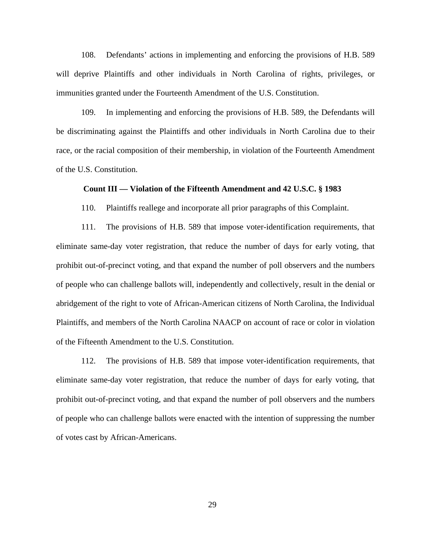108. Defendants' actions in implementing and enforcing the provisions of H.B. 589 will deprive Plaintiffs and other individuals in North Carolina of rights, privileges, or immunities granted under the Fourteenth Amendment of the U.S. Constitution.

109. In implementing and enforcing the provisions of H.B. 589, the Defendants will be discriminating against the Plaintiffs and other individuals in North Carolina due to their race, or the racial composition of their membership, in violation of the Fourteenth Amendment of the U.S. Constitution.

#### **Count III — Violation of the Fifteenth Amendment and 42 U.S.C. § 1983**

110. Plaintiffs reallege and incorporate all prior paragraphs of this Complaint.

111. The provisions of H.B. 589 that impose voter-identification requirements, that eliminate same-day voter registration, that reduce the number of days for early voting, that prohibit out-of-precinct voting, and that expand the number of poll observers and the numbers of people who can challenge ballots will, independently and collectively, result in the denial or abridgement of the right to vote of African-American citizens of North Carolina, the Individual Plaintiffs, and members of the North Carolina NAACP on account of race or color in violation of the Fifteenth Amendment to the U.S. Constitution.

112. The provisions of H.B. 589 that impose voter-identification requirements, that eliminate same-day voter registration, that reduce the number of days for early voting, that prohibit out-of-precinct voting, and that expand the number of poll observers and the numbers of people who can challenge ballots were enacted with the intention of suppressing the number of votes cast by African-Americans.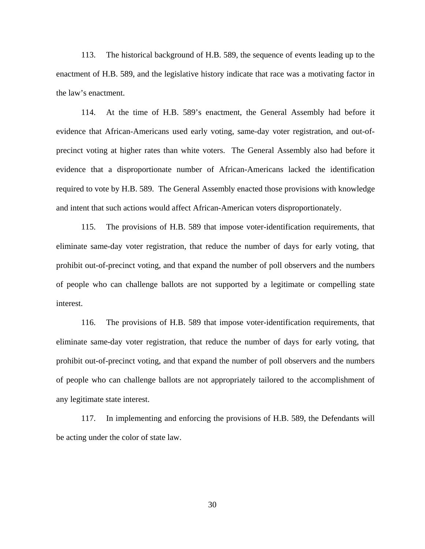113. The historical background of H.B. 589, the sequence of events leading up to the enactment of H.B. 589, and the legislative history indicate that race was a motivating factor in the law's enactment.

114. At the time of H.B. 589's enactment, the General Assembly had before it evidence that African-Americans used early voting, same-day voter registration, and out-ofprecinct voting at higher rates than white voters. The General Assembly also had before it evidence that a disproportionate number of African-Americans lacked the identification required to vote by H.B. 589. The General Assembly enacted those provisions with knowledge and intent that such actions would affect African-American voters disproportionately.

115. The provisions of H.B. 589 that impose voter-identification requirements, that eliminate same-day voter registration, that reduce the number of days for early voting, that prohibit out-of-precinct voting, and that expand the number of poll observers and the numbers of people who can challenge ballots are not supported by a legitimate or compelling state interest.

116. The provisions of H.B. 589 that impose voter-identification requirements, that eliminate same-day voter registration, that reduce the number of days for early voting, that prohibit out-of-precinct voting, and that expand the number of poll observers and the numbers of people who can challenge ballots are not appropriately tailored to the accomplishment of any legitimate state interest.

117. In implementing and enforcing the provisions of H.B. 589, the Defendants will be acting under the color of state law.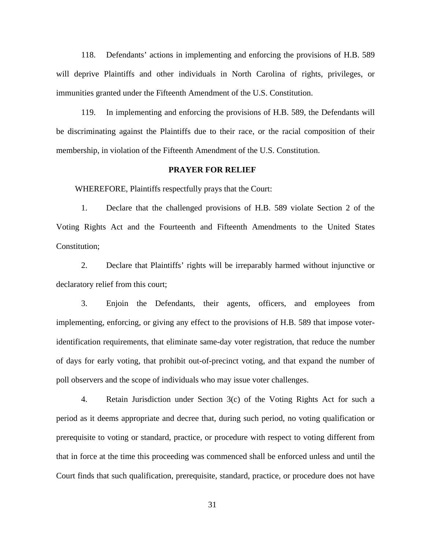118. Defendants' actions in implementing and enforcing the provisions of H.B. 589 will deprive Plaintiffs and other individuals in North Carolina of rights, privileges, or immunities granted under the Fifteenth Amendment of the U.S. Constitution.

119. In implementing and enforcing the provisions of H.B. 589, the Defendants will be discriminating against the Plaintiffs due to their race, or the racial composition of their membership, in violation of the Fifteenth Amendment of the U.S. Constitution.

#### **PRAYER FOR RELIEF**

WHEREFORE, Plaintiffs respectfully prays that the Court:

1. Declare that the challenged provisions of H.B. 589 violate Section 2 of the Voting Rights Act and the Fourteenth and Fifteenth Amendments to the United States Constitution;

2. Declare that Plaintiffs' rights will be irreparably harmed without injunctive or declaratory relief from this court;

3. Enjoin the Defendants, their agents, officers, and employees from implementing, enforcing, or giving any effect to the provisions of H.B. 589 that impose voteridentification requirements, that eliminate same-day voter registration, that reduce the number of days for early voting, that prohibit out-of-precinct voting, and that expand the number of poll observers and the scope of individuals who may issue voter challenges.

4. Retain Jurisdiction under Section 3(c) of the Voting Rights Act for such a period as it deems appropriate and decree that, during such period, no voting qualification or prerequisite to voting or standard, practice, or procedure with respect to voting different from that in force at the time this proceeding was commenced shall be enforced unless and until the Court finds that such qualification, prerequisite, standard, practice, or procedure does not have